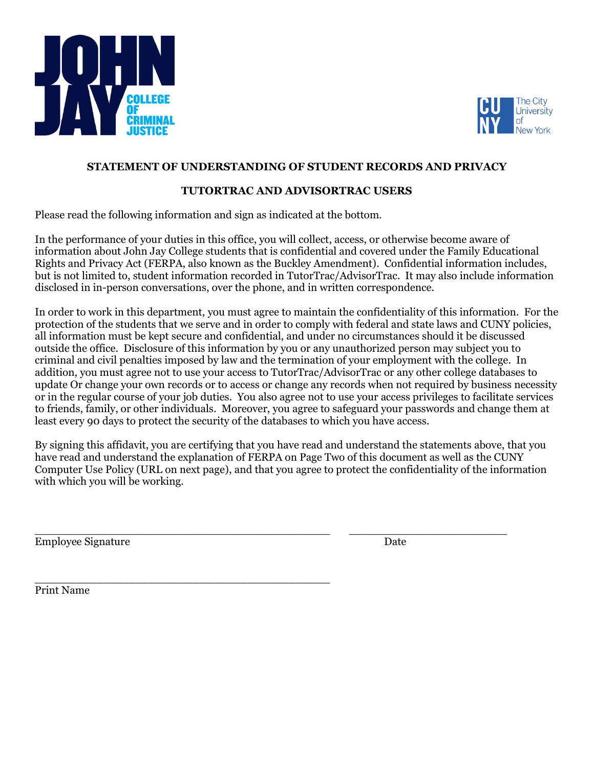



## **STATEMENT OF UNDERSTANDING OF STUDENT RECORDS AND PRIVACY**

## **TUTORTRAC AND ADVISORTRAC USERS**

Please read the following information and sign as indicated at the bottom.

In the performance of your duties in this office, you will collect, access, or otherwise become aware of information about John Jay College students that is confidential and covered under the Family Educational Rights and Privacy Act (FERPA, also known as the Buckley Amendment). Confidential information includes, but is not limited to, student information recorded in TutorTrac/AdvisorTrac. It may also include information disclosed in in-person conversations, over the phone, and in written correspondence.

In order to work in this department, you must agree to maintain the confidentiality of this information. For the protection of the students that we serve and in order to comply with federal and state laws and CUNY policies, all information must be kept secure and confidential, and under no circumstances should it be discussed outside the office. Disclosure of this information by you or any unauthorized person may subject you to criminal and civil penalties imposed by law and the termination of your employment with the college. In addition, you must agree not to use your access to TutorTrac/AdvisorTrac or any other college databases to update Or change your own records or to access or change any records when not required by business necessity or in the regular course of your job duties. You also agree not to use your access privileges to facilitate services to friends, family, or other individuals. Moreover, you agree to safeguard your passwords and change them at least every 90 days to protect the security of the databases to which you have access.

By signing this affidavit, you are certifying that you have read and understand the statements above, that you have read and understand the explanation of FERPA on Page Two of this document as well as the CUNY Computer Use Policy (URL on next page), and that you agree to protect the confidentiality of the information with which you will be working.

 $\_$  , and the set of the set of the set of the set of the set of the set of the set of the set of the set of the set of the set of the set of the set of the set of the set of the set of the set of the set of the set of th

\_\_\_\_\_\_\_\_\_\_\_\_\_\_\_\_\_\_\_\_\_\_\_\_\_\_\_\_\_\_\_\_\_\_\_\_\_\_\_\_\_\_\_

Employee Signature Date

Print Name